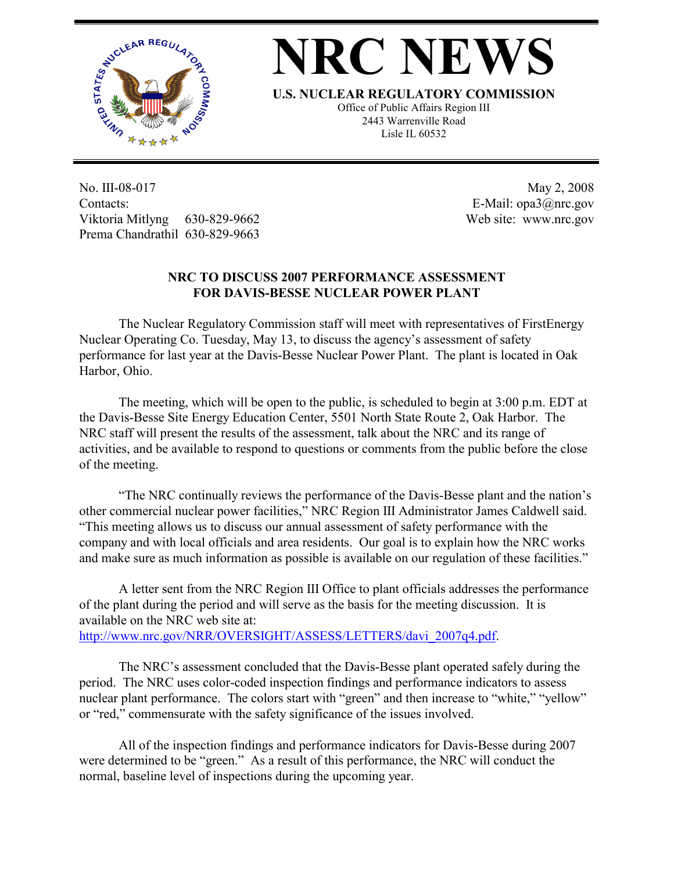

## **NRC NEWS**

**U.S. NUCLEAR REGULATORY COMMISSION**

Office of Public Affairs Region III 2443 Warrenville Road Lisle IL 60532

No. III-08-017 Contacts: Viktoria Mitlyng 630-829-9662 Prema Chandrathil 630-829-9663

 May 2, 2008 E-Mail: opa3@nrc.gov Web site: www.nrc.gov

## **NRC TO DISCUSS 2007 PERFORMANCE ASSESSMENT FOR DAVIS-BESSE NUCLEAR POWER PLANT**

 The Nuclear Regulatory Commission staff will meet with representatives of FirstEnergy Nuclear Operating Co. Tuesday, May 13, to discuss the agency's assessment of safety performance for last year at the Davis-Besse Nuclear Power Plant. The plant is located in Oak Harbor, Ohio.

 The meeting, which will be open to the public, is scheduled to begin at 3:00 p.m. EDT at the Davis-Besse Site Energy Education Center, 5501 North State Route 2, Oak Harbor. The NRC staff will present the results of the assessment, talk about the NRC and its range of activities, and be available to respond to questions or comments from the public before the close of the meeting.

 "The NRC continually reviews the performance of the Davis-Besse plant and the nation's other commercial nuclear power facilities," NRC Region III Administrator James Caldwell said. "This meeting allows us to discuss our annual assessment of safety performance with the company and with local officials and area residents. Our goal is to explain how the NRC works and make sure as much information as possible is available on our regulation of these facilities."

 A letter sent from the NRC Region III Office to plant officials addresses the performance of the plant during the period and will serve as the basis for the meeting discussion. It is available on the NRC web site at: http://www.nrc.gov/NRR/OVERSIGHT/ASSESS/LETTERS/davi\_2007q4.pdf.

 The NRC's assessment concluded that the Davis-Besse plant operated safely during the period. The NRC uses color-coded inspection findings and performance indicators to assess nuclear plant performance. The colors start with "green" and then increase to "white," "yellow" or "red," commensurate with the safety significance of the issues involved.

 All of the inspection findings and performance indicators for Davis-Besse during 2007 were determined to be "green." As a result of this performance, the NRC will conduct the normal, baseline level of inspections during the upcoming year.